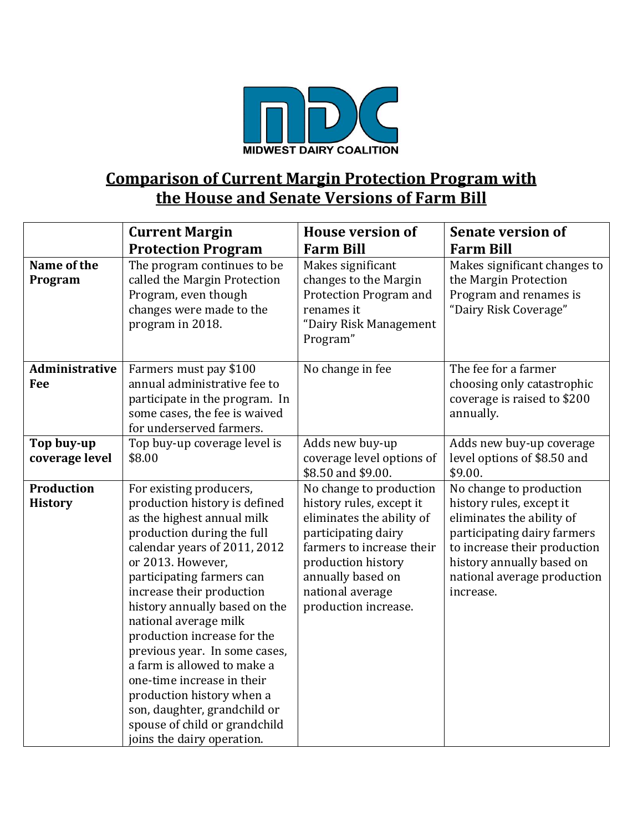

## **Comparison of Current Margin Protection Program with the House and Senate Versions of Farm Bill**

|                                     | <b>Current Margin</b><br><b>Protection Program</b>                                                                                                                                                                                                                                                                                                                                                                                                                                                                                                     | <b>House version of</b><br><b>Farm Bill</b>                                                                                                                                                                                 | <b>Senate version of</b><br><b>Farm Bill</b>                                                                                                                                                                             |
|-------------------------------------|--------------------------------------------------------------------------------------------------------------------------------------------------------------------------------------------------------------------------------------------------------------------------------------------------------------------------------------------------------------------------------------------------------------------------------------------------------------------------------------------------------------------------------------------------------|-----------------------------------------------------------------------------------------------------------------------------------------------------------------------------------------------------------------------------|--------------------------------------------------------------------------------------------------------------------------------------------------------------------------------------------------------------------------|
| Name of the<br>Program              | The program continues to be<br>called the Margin Protection<br>Program, even though<br>changes were made to the<br>program in 2018.                                                                                                                                                                                                                                                                                                                                                                                                                    | Makes significant<br>changes to the Margin<br>Protection Program and<br>renames it<br>"Dairy Risk Management<br>Program"                                                                                                    | Makes significant changes to<br>the Margin Protection<br>Program and renames is<br>"Dairy Risk Coverage"                                                                                                                 |
| Administrative<br>Fee               | Farmers must pay \$100<br>annual administrative fee to<br>participate in the program. In<br>some cases, the fee is waived<br>for underserved farmers.                                                                                                                                                                                                                                                                                                                                                                                                  | No change in fee                                                                                                                                                                                                            | The fee for a farmer<br>choosing only catastrophic<br>coverage is raised to \$200<br>annually.                                                                                                                           |
| Top buy-up<br>coverage level        | Top buy-up coverage level is<br>\$8.00                                                                                                                                                                                                                                                                                                                                                                                                                                                                                                                 | Adds new buy-up<br>coverage level options of<br>\$8.50 and \$9.00.                                                                                                                                                          | Adds new buy-up coverage<br>level options of \$8.50 and<br>\$9.00.                                                                                                                                                       |
| <b>Production</b><br><b>History</b> | For existing producers,<br>production history is defined<br>as the highest annual milk<br>production during the full<br>calendar years of 2011, 2012<br>or 2013. However,<br>participating farmers can<br>increase their production<br>history annually based on the<br>national average milk<br>production increase for the<br>previous year. In some cases,<br>a farm is allowed to make a<br>one-time increase in their<br>production history when a<br>son, daughter, grandchild or<br>spouse of child or grandchild<br>joins the dairy operation. | No change to production<br>history rules, except it<br>eliminates the ability of<br>participating dairy<br>farmers to increase their<br>production history<br>annually based on<br>national average<br>production increase. | No change to production<br>history rules, except it<br>eliminates the ability of<br>participating dairy farmers<br>to increase their production<br>history annually based on<br>national average production<br>increase. |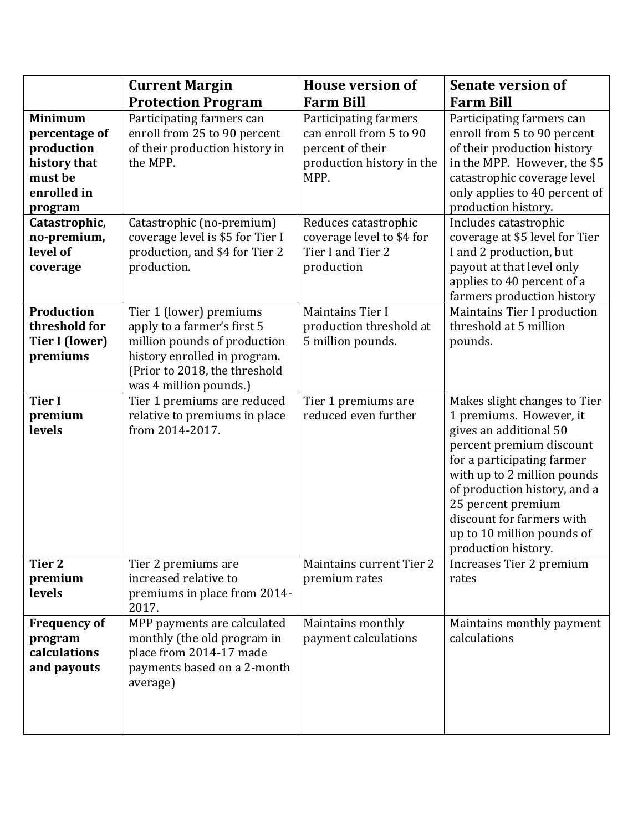|                                                                                                    | <b>Current Margin</b>                                                                                                                                                             | <b>House version of</b>                                                                                   | <b>Senate version of</b>                                                                                                                                                                                                                                                                                           |
|----------------------------------------------------------------------------------------------------|-----------------------------------------------------------------------------------------------------------------------------------------------------------------------------------|-----------------------------------------------------------------------------------------------------------|--------------------------------------------------------------------------------------------------------------------------------------------------------------------------------------------------------------------------------------------------------------------------------------------------------------------|
|                                                                                                    | <b>Protection Program</b>                                                                                                                                                         | <b>Farm Bill</b>                                                                                          | <b>Farm Bill</b>                                                                                                                                                                                                                                                                                                   |
| <b>Minimum</b><br>percentage of<br>production<br>history that<br>must be<br>enrolled in<br>program | Participating farmers can<br>enroll from 25 to 90 percent<br>of their production history in<br>the MPP.                                                                           | Participating farmers<br>can enroll from 5 to 90<br>percent of their<br>production history in the<br>MPP. | Participating farmers can<br>enroll from 5 to 90 percent<br>of their production history<br>in the MPP. However, the \$5<br>catastrophic coverage level<br>only applies to 40 percent of<br>production history.                                                                                                     |
| Catastrophic,<br>no-premium,<br>level of<br>coverage                                               | Catastrophic (no-premium)<br>coverage level is \$5 for Tier I<br>production, and \$4 for Tier 2<br>production.                                                                    | Reduces catastrophic<br>coverage level to \$4 for<br>Tier I and Tier 2<br>production                      | Includes catastrophic<br>coverage at \$5 level for Tier<br>I and 2 production, but<br>payout at that level only<br>applies to 40 percent of a<br>farmers production history                                                                                                                                        |
| <b>Production</b><br>threshold for<br><b>Tier I (lower)</b><br>premiums                            | Tier 1 (lower) premiums<br>apply to a farmer's first 5<br>million pounds of production<br>history enrolled in program.<br>(Prior to 2018, the threshold<br>was 4 million pounds.) | Maintains Tier I<br>production threshold at<br>5 million pounds.                                          | Maintains Tier I production<br>threshold at 5 million<br>pounds.                                                                                                                                                                                                                                                   |
| <b>Tier I</b><br>premium<br>levels                                                                 | Tier 1 premiums are reduced<br>relative to premiums in place<br>from 2014-2017.                                                                                                   | Tier 1 premiums are<br>reduced even further                                                               | Makes slight changes to Tier<br>1 premiums. However, it<br>gives an additional 50<br>percent premium discount<br>for a participating farmer<br>with up to 2 million pounds<br>of production history, and a<br>25 percent premium<br>discount for farmers with<br>up to 10 million pounds of<br>production history. |
| Tier 2<br>premium<br>levels                                                                        | Tier 2 premiums are<br>increased relative to<br>premiums in place from 2014-<br>2017.                                                                                             | Maintains current Tier 2<br>premium rates                                                                 | Increases Tier 2 premium<br>rates                                                                                                                                                                                                                                                                                  |
| <b>Frequency of</b><br>program<br>calculations<br>and payouts                                      | MPP payments are calculated<br>monthly (the old program in<br>place from 2014-17 made<br>payments based on a 2-month<br>average)                                                  | Maintains monthly<br>payment calculations                                                                 | Maintains monthly payment<br>calculations                                                                                                                                                                                                                                                                          |